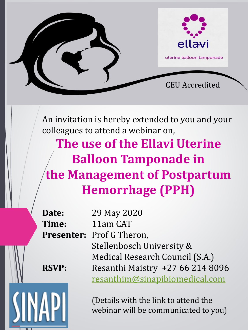

An invitation is hereby extended to you and your colleagues to attend a webinar on,

**The use of the Ellavi Uterine Balloon Tamponade in the Management of Postpartum Hemorrhage (PPH)**

**Date:** 29 May 2020 **Time:** 11am CAT **Presenter:** Prof G Theron, Stellenbosch University & Medical Research Council (S.A.) **RSVP:** Resanthi Maistry +27 66 214 8096 [resanthim@sinapibiomedical.com](mailto:resanthim@sinapibiomedical.com)

> (Details with the link to attend the webinar will be communicated to you)